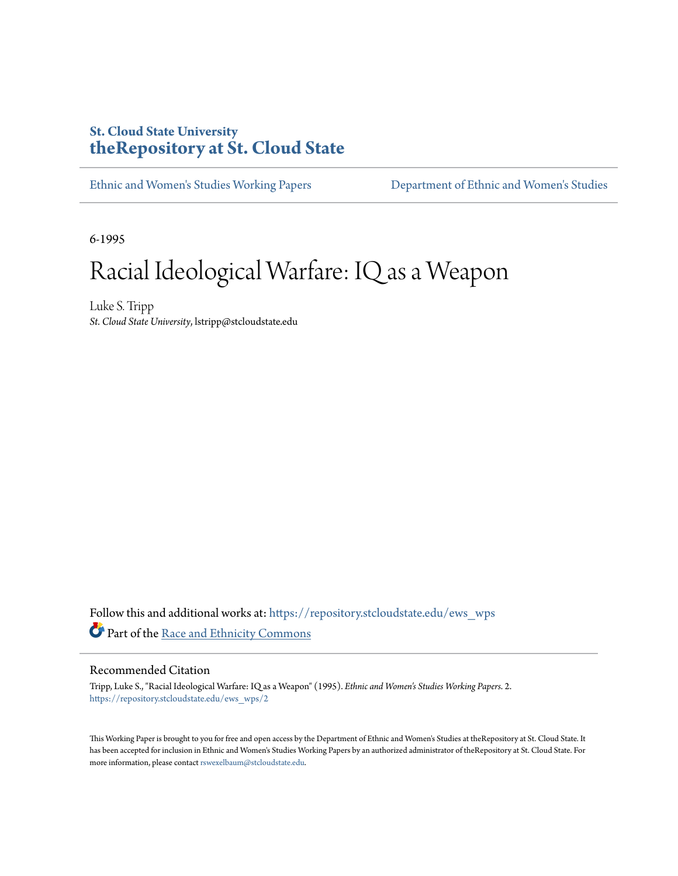### **St. Cloud State University [theRepository at St. Cloud State](https://repository.stcloudstate.edu?utm_source=repository.stcloudstate.edu%2Fews_wps%2F2&utm_medium=PDF&utm_campaign=PDFCoverPages)**

[Ethnic and Women's Studies Working Papers](https://repository.stcloudstate.edu/ews_wps?utm_source=repository.stcloudstate.edu%2Fews_wps%2F2&utm_medium=PDF&utm_campaign=PDFCoverPages) [Department of Ethnic and Women's Studies](https://repository.stcloudstate.edu/ews?utm_source=repository.stcloudstate.edu%2Fews_wps%2F2&utm_medium=PDF&utm_campaign=PDFCoverPages)

6-1995

# Racial Ideological Warfare: IQ as a Weapon

Luke S. Tripp *St. Cloud State University*, lstripp@stcloudstate.edu

Follow this and additional works at: [https://repository.stcloudstate.edu/ews\\_wps](https://repository.stcloudstate.edu/ews_wps?utm_source=repository.stcloudstate.edu%2Fews_wps%2F2&utm_medium=PDF&utm_campaign=PDFCoverPages) Part of the [Race and Ethnicity Commons](http://network.bepress.com/hgg/discipline/426?utm_source=repository.stcloudstate.edu%2Fews_wps%2F2&utm_medium=PDF&utm_campaign=PDFCoverPages)

#### Recommended Citation

Tripp, Luke S., "Racial Ideological Warfare: IQ as a Weapon" (1995). *Ethnic and Women's Studies Working Papers*. 2. [https://repository.stcloudstate.edu/ews\\_wps/2](https://repository.stcloudstate.edu/ews_wps/2?utm_source=repository.stcloudstate.edu%2Fews_wps%2F2&utm_medium=PDF&utm_campaign=PDFCoverPages)

This Working Paper is brought to you for free and open access by the Department of Ethnic and Women's Studies at theRepository at St. Cloud State. It has been accepted for inclusion in Ethnic and Women's Studies Working Papers by an authorized administrator of theRepository at St. Cloud State. For more information, please contact [rswexelbaum@stcloudstate.edu](mailto:rswexelbaum@stcloudstate.edu).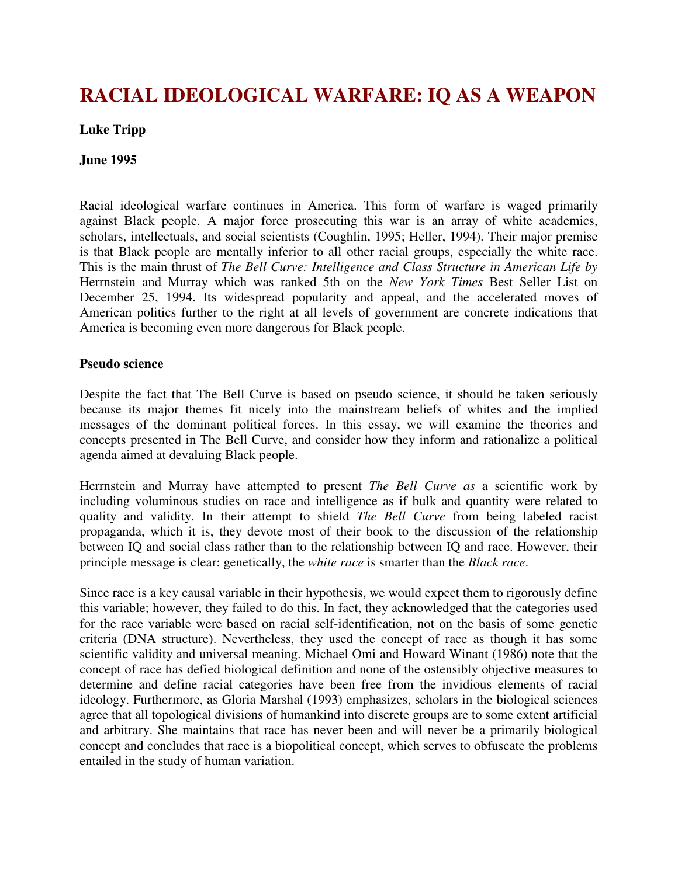## **RACIAL IDEOLOGICAL WARFARE: IQ AS A WEAPON**

#### **Luke Tripp**

#### **June 1995**

Racial ideological warfare continues in America. This form of warfare is waged primarily against Black people. A major force prosecuting this war is an array of white academics, scholars, intellectuals, and social scientists (Coughlin, 1995; Heller, 1994). Their major premise is that Black people are mentally inferior to all other racial groups, especially the white race. This is the main thrust of *The Bell Curve: Intelligence and Class Structure in American Life by* Herrnstein and Murray which was ranked 5th on the *New York Times* Best Seller List on December 25, 1994. Its widespread popularity and appeal, and the accelerated moves of American politics further to the right at all levels of government are concrete indications that America is becoming even more dangerous for Black people.

#### **Pseudo science**

Despite the fact that The Bell Curve is based on pseudo science, it should be taken seriously because its major themes fit nicely into the mainstream beliefs of whites and the implied messages of the dominant political forces. In this essay, we will examine the theories and concepts presented in The Bell Curve, and consider how they inform and rationalize a political agenda aimed at devaluing Black people.

Herrnstein and Murray have attempted to present *The Bell Curve as* a scientific work by including voluminous studies on race and intelligence as if bulk and quantity were related to quality and validity. In their attempt to shield *The Bell Curve* from being labeled racist propaganda, which it is, they devote most of their book to the discussion of the relationship between IQ and social class rather than to the relationship between IQ and race. However, their principle message is clear: genetically, the *white race* is smarter than the *Black race*.

Since race is a key causal variable in their hypothesis, we would expect them to rigorously define this variable; however, they failed to do this. In fact, they acknowledged that the categories used for the race variable were based on racial self-identification, not on the basis of some genetic criteria (DNA structure). Nevertheless, they used the concept of race as though it has some scientific validity and universal meaning. Michael Omi and Howard Winant (1986) note that the concept of race has defied biological definition and none of the ostensibly objective measures to determine and define racial categories have been free from the invidious elements of racial ideology. Furthermore, as Gloria Marshal (1993) emphasizes, scholars in the biological sciences agree that all topological divisions of humankind into discrete groups are to some extent artificial and arbitrary. She maintains that race has never been and will never be a primarily biological concept and concludes that race is a biopolitical concept, which serves to obfuscate the problems entailed in the study of human variation.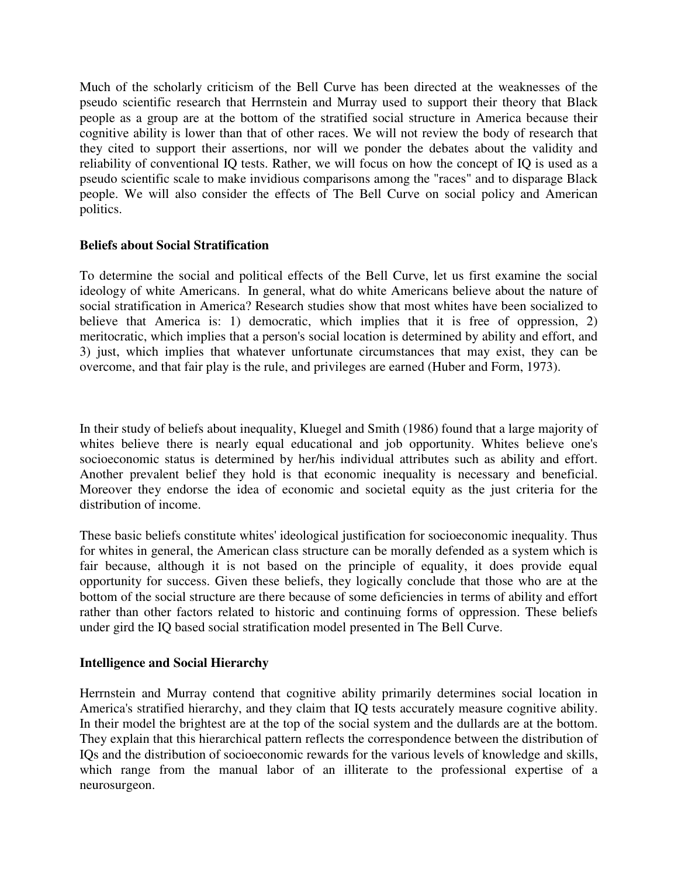Much of the scholarly criticism of the Bell Curve has been directed at the weaknesses of the pseudo scientific research that Herrnstein and Murray used to support their theory that Black people as a group are at the bottom of the stratified social structure in America because their cognitive ability is lower than that of other races. We will not review the body of research that they cited to support their assertions, nor will we ponder the debates about the validity and reliability of conventional IQ tests. Rather, we will focus on how the concept of IQ is used as a pseudo scientific scale to make invidious comparisons among the "races" and to disparage Black people. We will also consider the effects of The Bell Curve on social policy and American politics.

#### **Beliefs about Social Stratification**

To determine the social and political effects of the Bell Curve, let us first examine the social ideology of white Americans. In general, what do white Americans believe about the nature of social stratification in America? Research studies show that most whites have been socialized to believe that America is: 1) democratic, which implies that it is free of oppression, 2) meritocratic, which implies that a person's social location is determined by ability and effort, and 3) just, which implies that whatever unfortunate circumstances that may exist, they can be overcome, and that fair play is the rule, and privileges are earned (Huber and Form, 1973).

In their study of beliefs about inequality, Kluegel and Smith (1986) found that a large majority of whites believe there is nearly equal educational and job opportunity. Whites believe one's socioeconomic status is determined by her/his individual attributes such as ability and effort. Another prevalent belief they hold is that economic inequality is necessary and beneficial. Moreover they endorse the idea of economic and societal equity as the just criteria for the distribution of income.

These basic beliefs constitute whites' ideological justification for socioeconomic inequality. Thus for whites in general, the American class structure can be morally defended as a system which is fair because, although it is not based on the principle of equality, it does provide equal opportunity for success. Given these beliefs, they logically conclude that those who are at the bottom of the social structure are there because of some deficiencies in terms of ability and effort rather than other factors related to historic and continuing forms of oppression. These beliefs under gird the IQ based social stratification model presented in The Bell Curve.

#### **Intelligence and Social Hierarchy**

Herrnstein and Murray contend that cognitive ability primarily determines social location in America's stratified hierarchy, and they claim that IQ tests accurately measure cognitive ability. In their model the brightest are at the top of the social system and the dullards are at the bottom. They explain that this hierarchical pattern reflects the correspondence between the distribution of IQs and the distribution of socioeconomic rewards for the various levels of knowledge and skills, which range from the manual labor of an illiterate to the professional expertise of a neurosurgeon.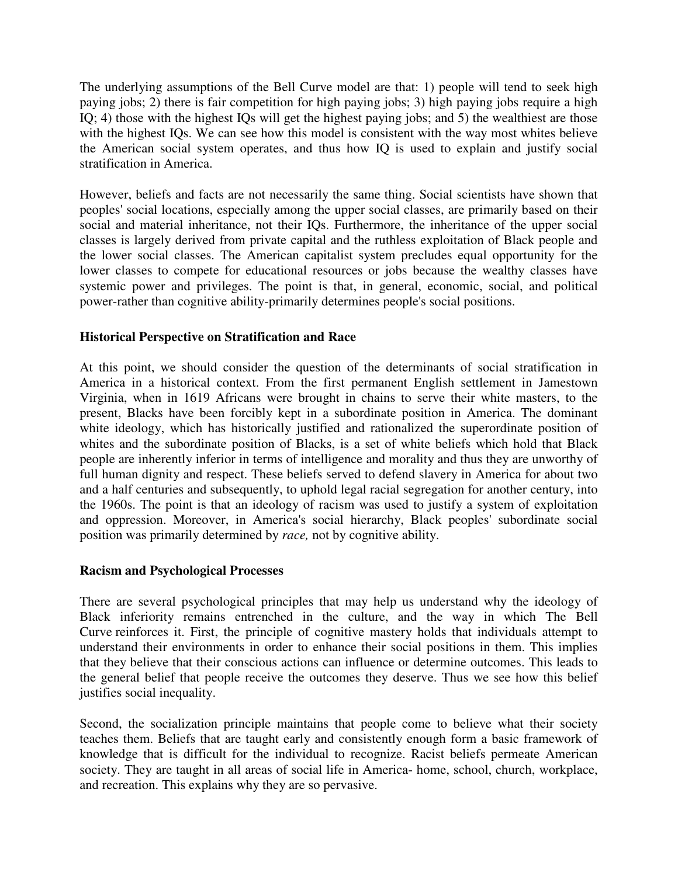The underlying assumptions of the Bell Curve model are that: 1) people will tend to seek high paying jobs; 2) there is fair competition for high paying jobs; 3) high paying jobs require a high IQ; 4) those with the highest IQs will get the highest paying jobs; and 5) the wealthiest are those with the highest IQs. We can see how this model is consistent with the way most whites believe the American social system operates, and thus how IQ is used to explain and justify social stratification in America.

However, beliefs and facts are not necessarily the same thing. Social scientists have shown that peoples' social locations, especially among the upper social classes, are primarily based on their social and material inheritance, not their IQs. Furthermore, the inheritance of the upper social classes is largely derived from private capital and the ruthless exploitation of Black people and the lower social classes. The American capitalist system precludes equal opportunity for the lower classes to compete for educational resources or jobs because the wealthy classes have systemic power and privileges. The point is that, in general, economic, social, and political power-rather than cognitive ability-primarily determines people's social positions.

#### **Historical Perspective on Stratification and Race**

At this point, we should consider the question of the determinants of social stratification in America in a historical context. From the first permanent English settlement in Jamestown Virginia, when in 1619 Africans were brought in chains to serve their white masters, to the present, Blacks have been forcibly kept in a subordinate position in America. The dominant white ideology, which has historically justified and rationalized the superordinate position of whites and the subordinate position of Blacks, is a set of white beliefs which hold that Black people are inherently inferior in terms of intelligence and morality and thus they are unworthy of full human dignity and respect. These beliefs served to defend slavery in America for about two and a half centuries and subsequently, to uphold legal racial segregation for another century, into the 1960s. The point is that an ideology of racism was used to justify a system of exploitation and oppression. Moreover, in America's social hierarchy, Black peoples' subordinate social position was primarily determined by *race,* not by cognitive ability.

#### **Racism and Psychological Processes**

There are several psychological principles that may help us understand why the ideology of Black inferiority remains entrenched in the culture, and the way in which The Bell Curve reinforces it. First, the principle of cognitive mastery holds that individuals attempt to understand their environments in order to enhance their social positions in them. This implies that they believe that their conscious actions can influence or determine outcomes. This leads to the general belief that people receive the outcomes they deserve. Thus we see how this belief justifies social inequality.

Second, the socialization principle maintains that people come to believe what their society teaches them. Beliefs that are taught early and consistently enough form a basic framework of knowledge that is difficult for the individual to recognize. Racist beliefs permeate American society. They are taught in all areas of social life in America- home, school, church, workplace, and recreation. This explains why they are so pervasive.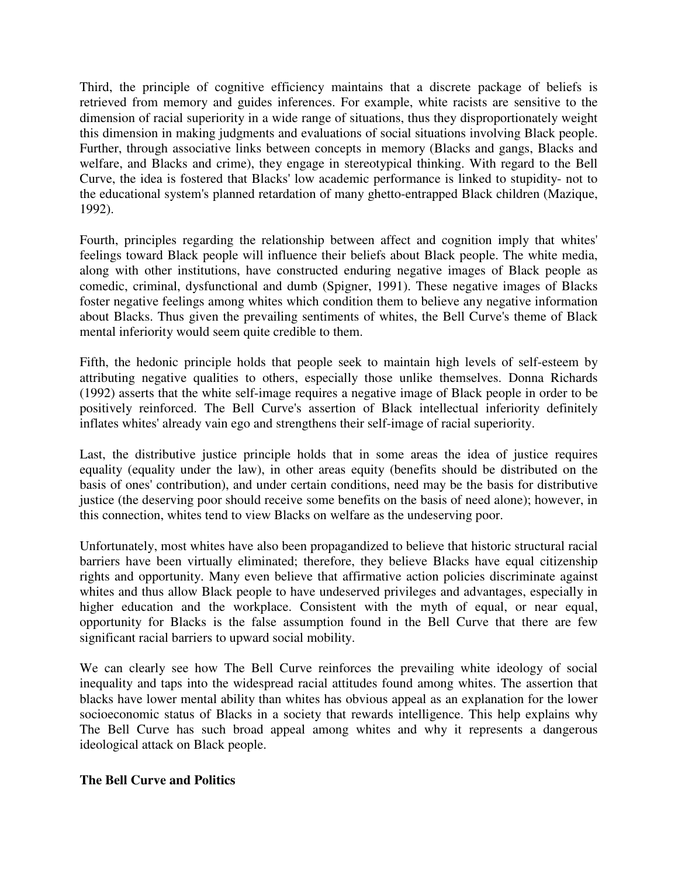Third, the principle of cognitive efficiency maintains that a discrete package of beliefs is retrieved from memory and guides inferences. For example, white racists are sensitive to the dimension of racial superiority in a wide range of situations, thus they disproportionately weight this dimension in making judgments and evaluations of social situations involving Black people. Further, through associative links between concepts in memory (Blacks and gangs, Blacks and welfare, and Blacks and crime), they engage in stereotypical thinking. With regard to the Bell Curve, the idea is fostered that Blacks' low academic performance is linked to stupidity- not to the educational system's planned retardation of many ghetto-entrapped Black children (Mazique, 1992).

Fourth, principles regarding the relationship between affect and cognition imply that whites' feelings toward Black people will influence their beliefs about Black people. The white media, along with other institutions, have constructed enduring negative images of Black people as comedic, criminal, dysfunctional and dumb (Spigner, 1991). These negative images of Blacks foster negative feelings among whites which condition them to believe any negative information about Blacks. Thus given the prevailing sentiments of whites, the Bell Curve's theme of Black mental inferiority would seem quite credible to them.

Fifth, the hedonic principle holds that people seek to maintain high levels of self-esteem by attributing negative qualities to others, especially those unlike themselves. Donna Richards (1992) asserts that the white self-image requires a negative image of Black people in order to be positively reinforced. The Bell Curve's assertion of Black intellectual inferiority definitely inflates whites' already vain ego and strengthens their self-image of racial superiority.

Last, the distributive justice principle holds that in some areas the idea of justice requires equality (equality under the law), in other areas equity (benefits should be distributed on the basis of ones' contribution), and under certain conditions, need may be the basis for distributive justice (the deserving poor should receive some benefits on the basis of need alone); however, in this connection, whites tend to view Blacks on welfare as the undeserving poor.

Unfortunately, most whites have also been propagandized to believe that historic structural racial barriers have been virtually eliminated; therefore, they believe Blacks have equal citizenship rights and opportunity. Many even believe that affirmative action policies discriminate against whites and thus allow Black people to have undeserved privileges and advantages, especially in higher education and the workplace. Consistent with the myth of equal, or near equal, opportunity for Blacks is the false assumption found in the Bell Curve that there are few significant racial barriers to upward social mobility.

We can clearly see how The Bell Curve reinforces the prevailing white ideology of social inequality and taps into the widespread racial attitudes found among whites. The assertion that blacks have lower mental ability than whites has obvious appeal as an explanation for the lower socioeconomic status of Blacks in a society that rewards intelligence. This help explains why The Bell Curve has such broad appeal among whites and why it represents a dangerous ideological attack on Black people.

#### **The Bell Curve and Politics**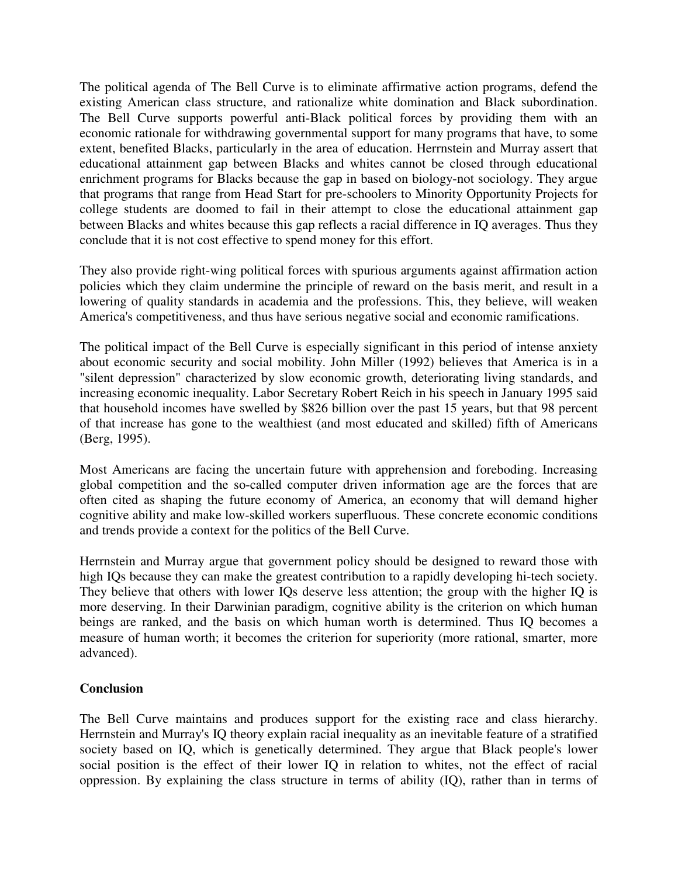The political agenda of The Bell Curve is to eliminate affirmative action programs, defend the existing American class structure, and rationalize white domination and Black subordination. The Bell Curve supports powerful anti-Black political forces by providing them with an economic rationale for withdrawing governmental support for many programs that have, to some extent, benefited Blacks, particularly in the area of education. Herrnstein and Murray assert that educational attainment gap between Blacks and whites cannot be closed through educational enrichment programs for Blacks because the gap in based on biology-not sociology. They argue that programs that range from Head Start for pre-schoolers to Minority Opportunity Projects for college students are doomed to fail in their attempt to close the educational attainment gap between Blacks and whites because this gap reflects a racial difference in IQ averages. Thus they conclude that it is not cost effective to spend money for this effort.

They also provide right-wing political forces with spurious arguments against affirmation action policies which they claim undermine the principle of reward on the basis merit, and result in a lowering of quality standards in academia and the professions. This, they believe, will weaken America's competitiveness, and thus have serious negative social and economic ramifications.

The political impact of the Bell Curve is especially significant in this period of intense anxiety about economic security and social mobility. John Miller (1992) believes that America is in a "silent depression" characterized by slow economic growth, deteriorating living standards, and increasing economic inequality. Labor Secretary Robert Reich in his speech in January 1995 said that household incomes have swelled by \$826 billion over the past 15 years, but that 98 percent of that increase has gone to the wealthiest (and most educated and skilled) fifth of Americans (Berg, 1995).

Most Americans are facing the uncertain future with apprehension and foreboding. Increasing global competition and the so-called computer driven information age are the forces that are often cited as shaping the future economy of America, an economy that will demand higher cognitive ability and make low-skilled workers superfluous. These concrete economic conditions and trends provide a context for the politics of the Bell Curve.

Herrnstein and Murray argue that government policy should be designed to reward those with high IQs because they can make the greatest contribution to a rapidly developing hi-tech society. They believe that others with lower IQs deserve less attention; the group with the higher IQ is more deserving. In their Darwinian paradigm, cognitive ability is the criterion on which human beings are ranked, and the basis on which human worth is determined. Thus IQ becomes a measure of human worth; it becomes the criterion for superiority (more rational, smarter, more advanced).

#### **Conclusion**

The Bell Curve maintains and produces support for the existing race and class hierarchy. Herrnstein and Murray's IQ theory explain racial inequality as an inevitable feature of a stratified society based on IQ, which is genetically determined. They argue that Black people's lower social position is the effect of their lower IQ in relation to whites, not the effect of racial oppression. By explaining the class structure in terms of ability (IQ), rather than in terms of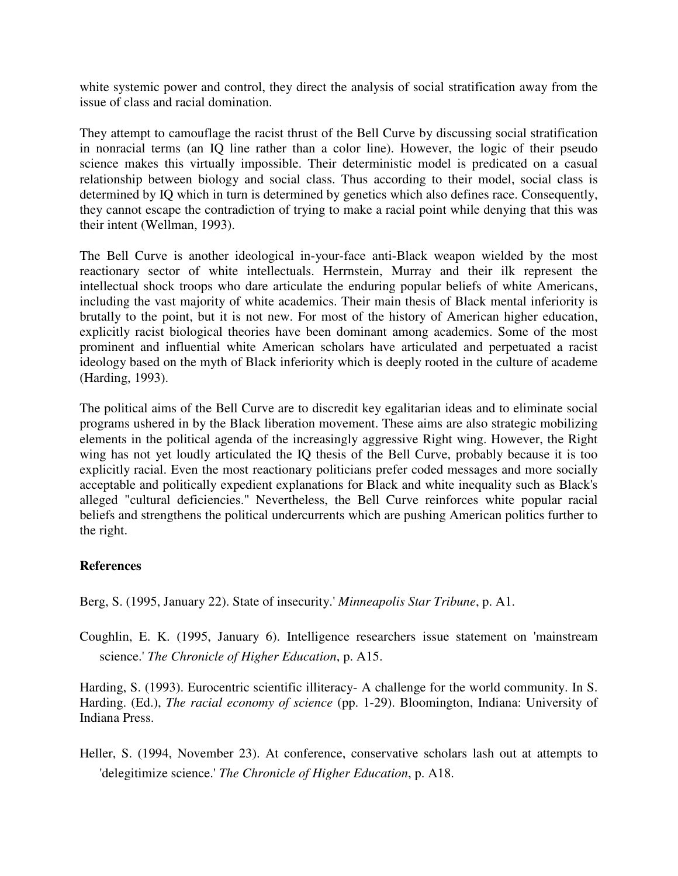white systemic power and control, they direct the analysis of social stratification away from the issue of class and racial domination.

They attempt to camouflage the racist thrust of the Bell Curve by discussing social stratification in nonracial terms (an IQ line rather than a color line). However, the logic of their pseudo science makes this virtually impossible. Their deterministic model is predicated on a casual relationship between biology and social class. Thus according to their model, social class is determined by IQ which in turn is determined by genetics which also defines race. Consequently, they cannot escape the contradiction of trying to make a racial point while denying that this was their intent (Wellman, 1993).

The Bell Curve is another ideological in-your-face anti-Black weapon wielded by the most reactionary sector of white intellectuals. Herrnstein, Murray and their ilk represent the intellectual shock troops who dare articulate the enduring popular beliefs of white Americans, including the vast majority of white academics. Their main thesis of Black mental inferiority is brutally to the point, but it is not new. For most of the history of American higher education, explicitly racist biological theories have been dominant among academics. Some of the most prominent and influential white American scholars have articulated and perpetuated a racist ideology based on the myth of Black inferiority which is deeply rooted in the culture of academe (Harding, 1993).

The political aims of the Bell Curve are to discredit key egalitarian ideas and to eliminate social programs ushered in by the Black liberation movement. These aims are also strategic mobilizing elements in the political agenda of the increasingly aggressive Right wing. However, the Right wing has not yet loudly articulated the IQ thesis of the Bell Curve, probably because it is too explicitly racial. Even the most reactionary politicians prefer coded messages and more socially acceptable and politically expedient explanations for Black and white inequality such as Black's alleged "cultural deficiencies." Nevertheless, the Bell Curve reinforces white popular racial beliefs and strengthens the political undercurrents which are pushing American politics further to the right.

#### **References**

Berg, S. (1995, January 22). State of insecurity.' *Minneapolis Star Tribune*, p. A1.

Coughlin, E. K. (1995, January 6). Intelligence researchers issue statement on 'mainstream science.' *The Chronicle of Higher Education*, p. A15.

Harding, S. (1993). Eurocentric scientific illiteracy- A challenge for the world community. In S. Harding. (Ed.), *The racial economy of science* (pp. 1-29). Bloomington, Indiana: University of Indiana Press.

Heller, S. (1994, November 23). At conference, conservative scholars lash out at attempts to 'delegitimize science.' *The Chronicle of Higher Education*, p. A18.